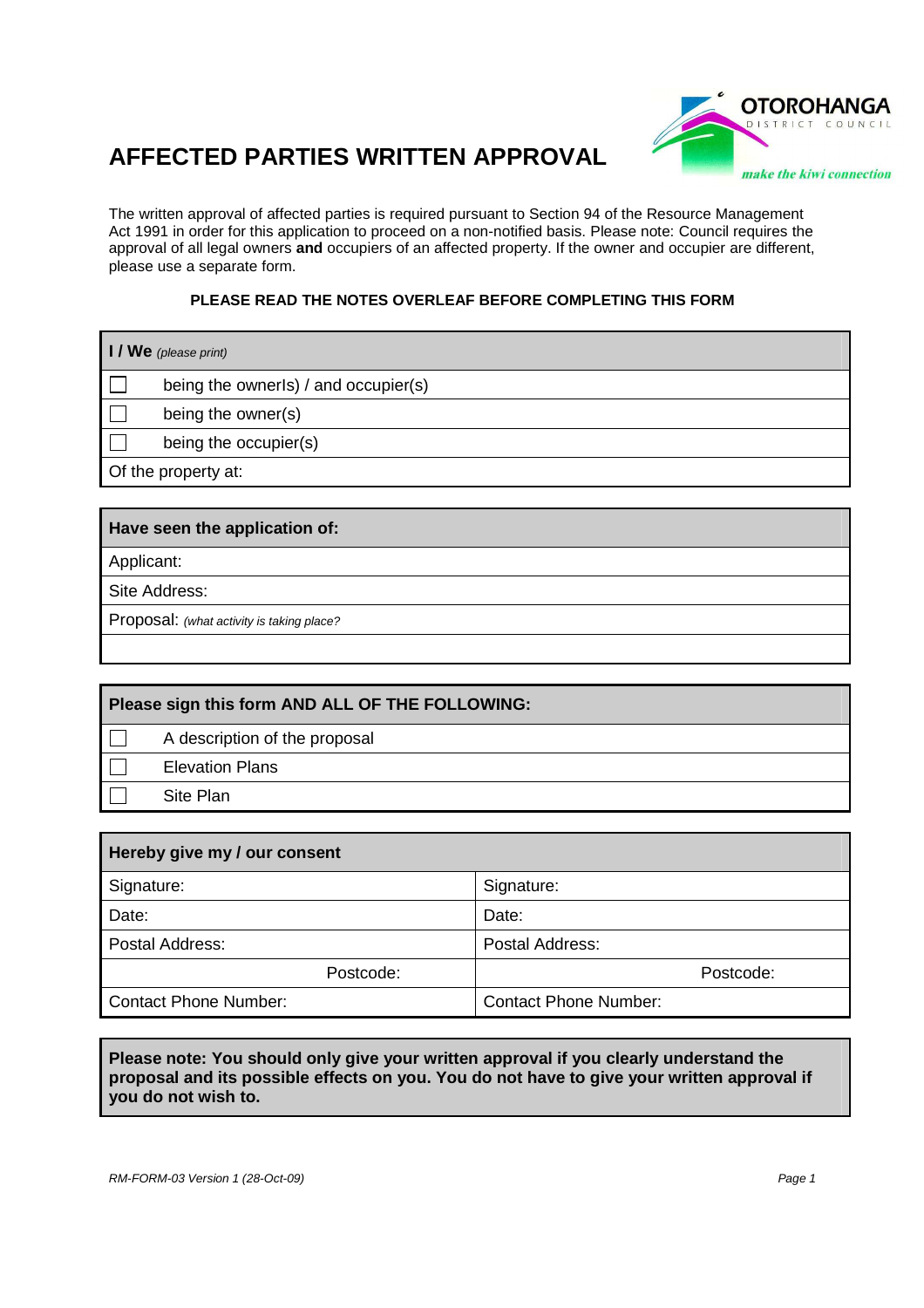## **AFFECTED PARTIES WRITTEN APPROVAL**



The written approval of affected parties is required pursuant to Section 94 of the Resource Management Act 1991 in order for this application to proceed on a non-notified basis. Please note: Council requires the approval of all legal owners **and** occupiers of an affected property. If the owner and occupier are different, please use a separate form.

## **PLEASE READ THE NOTES OVERLEAF BEFORE COMPLETING THIS FORM**

| $\blacksquare$ / We (please print) |                                      |  |
|------------------------------------|--------------------------------------|--|
|                                    | being the ownerls) / and occupier(s) |  |
|                                    | being the owner(s)                   |  |
|                                    | being the occupier(s)                |  |
| Of the property at:                |                                      |  |
|                                    |                                      |  |

## **Have seen the application of:**

Applicant:

Site Address:

Proposal: (what activity is taking place?

| Please sign this form AND ALL OF THE FOLLOWING: |                               |  |
|-------------------------------------------------|-------------------------------|--|
|                                                 | A description of the proposal |  |
|                                                 | <b>Elevation Plans</b>        |  |
|                                                 | Site Plan                     |  |

| Hereby give my / our consent |                              |  |  |
|------------------------------|------------------------------|--|--|
| Signature:                   | Signature:                   |  |  |
| Date:                        | Date:                        |  |  |
| Postal Address:              | Postal Address:              |  |  |
| Postcode:                    | Postcode:                    |  |  |
| Contact Phone Number:        | <b>Contact Phone Number:</b> |  |  |

**Please note: You should only give your written approval if you clearly understand the proposal and its possible effects on you. You do not have to give your written approval if you do not wish to.**